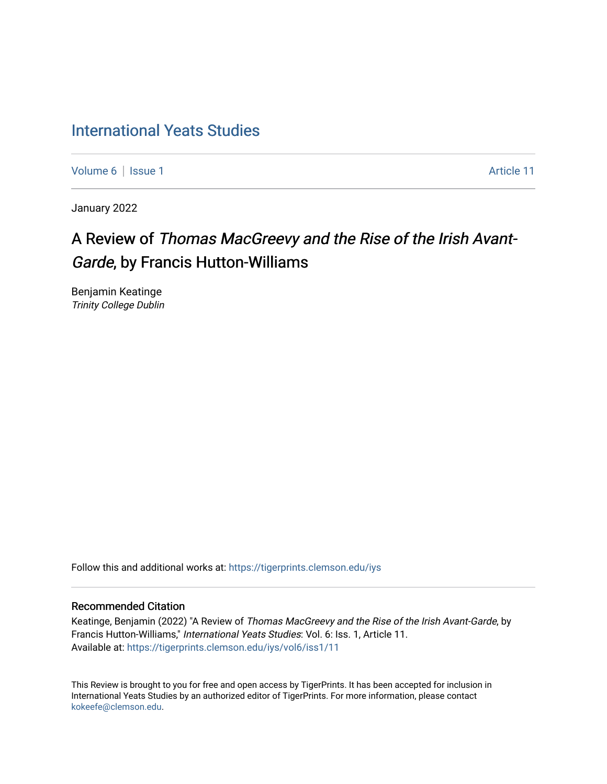## [International Yeats Studies](https://tigerprints.clemson.edu/iys)

[Volume 6](https://tigerprints.clemson.edu/iys/vol6) | [Issue 1](https://tigerprints.clemson.edu/iys/vol6/iss1) Article 11

January 2022

# A Review of Thomas MacGreevy and the Rise of the Irish Avant-Garde, by Francis Hutton-Williams

Benjamin Keatinge Trinity College Dublin

Follow this and additional works at: [https://tigerprints.clemson.edu/iys](https://tigerprints.clemson.edu/iys?utm_source=tigerprints.clemson.edu%2Fiys%2Fvol6%2Fiss1%2F11&utm_medium=PDF&utm_campaign=PDFCoverPages) 

### Recommended Citation

Keatinge, Benjamin (2022) "A Review of Thomas MacGreevy and the Rise of the Irish Avant-Garde, by Francis Hutton-Williams," International Yeats Studies: Vol. 6: Iss. 1, Article 11. Available at: [https://tigerprints.clemson.edu/iys/vol6/iss1/11](https://tigerprints.clemson.edu/iys/vol6/iss1/11?utm_source=tigerprints.clemson.edu%2Fiys%2Fvol6%2Fiss1%2F11&utm_medium=PDF&utm_campaign=PDFCoverPages) 

This Review is brought to you for free and open access by TigerPrints. It has been accepted for inclusion in International Yeats Studies by an authorized editor of TigerPrints. For more information, please contact [kokeefe@clemson.edu](mailto:kokeefe@clemson.edu).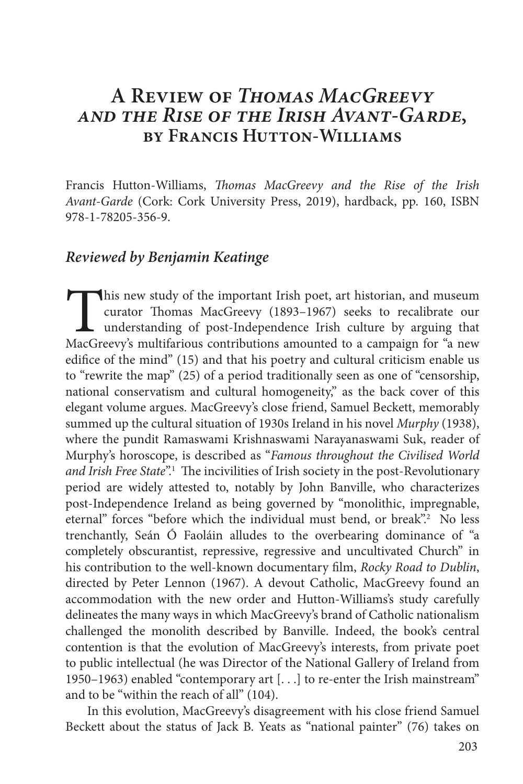### **A Review of** *Thomas MacGreevy and the Rise of the Irish Avant-Garde***, by Francis Hutton-Williams**

Francis Hutton-Williams, *Thomas MacGreevy and the Rise of the Irish Avant-Garde* (Cork: Cork University Press, 2019), hardback, pp. 160, ISBN 978-1-78205-356-9.

### *Reviewed by Benjamin Keatinge*

This new study of the important Irish poet, art historian, and museum curator Thomas MacGreevy (1893–1967) seeks to recalibrate our understanding of post-Independence Irish culture by arguing that MacGreevy's multifarious curator Thomas MacGreevy (1893–1967) seeks to recalibrate our understanding of post-Independence Irish culture by arguing that MacGreevy's multifarious contributions amounted to a campaign for "a new edifice of the mind" (15) and that his poetry and cultural criticism enable us to "rewrite the map" (25) of a period traditionally seen as one of "censorship, national conservatism and cultural homogeneity," as the back cover of this elegant volume argues. MacGreevy's close friend, Samuel Beckett, memorably summed up the cultural situation of 1930s Ireland in his novel *Murphy* (1938), where the pundit Ramaswami Krishnaswami Narayanaswami Suk, reader of Murphy's horoscope, is described as "*Famous throughout the Civilised World*  and Irish Free State".<sup>1</sup> The incivilities of Irish society in the post-Revolutionary period are widely attested to, notably by John Banville, who characterizes post-Independence Ireland as being governed by "monolithic, impregnable, eternal" forces "before which the individual must bend, or break".<sup>2</sup> No less trenchantly, Seán Ó Faoláin alludes to the overbearing dominance of "a completely obscurantist, repressive, regressive and uncultivated Church" in his contribution to the well-known documentary film, *Rocky Road to Dublin*, directed by Peter Lennon (1967). A devout Catholic, MacGreevy found an accommodation with the new order and Hutton-Williams's study carefully delineates the many ways in which MacGreevy's brand of Catholic nationalism challenged the monolith described by Banville. Indeed, the book's central contention is that the evolution of MacGreevy's interests, from private poet to public intellectual (he was Director of the National Gallery of Ireland from 1950–1963) enabled "contemporary art [. . .] to re-enter the Irish mainstream" and to be "within the reach of all" (104).

In this evolution, MacGreevy's disagreement with his close friend Samuel Beckett about the status of Jack B. Yeats as "national painter" (76) takes on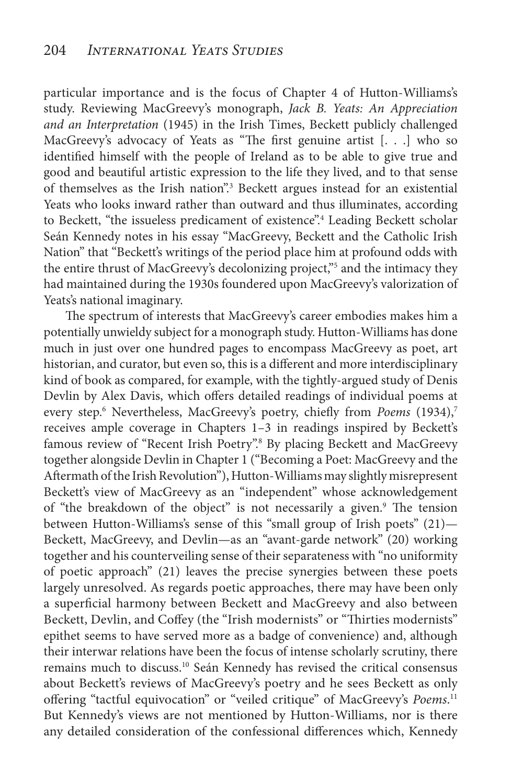particular importance and is the focus of Chapter 4 of Hutton-Williams's study. Reviewing MacGreevy's monograph, *Jack B. Yeats: An Appreciation and an Interpretation* (1945) in the Irish Times, Beckett publicly challenged MacGreevy's advocacy of Yeats as "The first genuine artist [. . .] who so identified himself with the people of Ireland as to be able to give true and good and beautiful artistic expression to the life they lived, and to that sense of themselves as the Irish nation".<sup>3</sup> Beckett argues instead for an existential Yeats who looks inward rather than outward and thus illuminates, according to Beckett, "the issueless predicament of existence".<sup>4</sup> Leading Beckett scholar Seán Kennedy notes in his essay "MacGreevy, Beckett and the Catholic Irish Nation" that "Beckett's writings of the period place him at profound odds with the entire thrust of MacGreevy's decolonizing project,"<sup>5</sup> and the intimacy they had maintained during the 1930s foundered upon MacGreevy's valorization of Yeats's national imaginary.

The spectrum of interests that MacGreevy's career embodies makes him a potentially unwieldy subject for a monograph study. Hutton-Williams has done much in just over one hundred pages to encompass MacGreevy as poet, art historian, and curator, but even so, this is a different and more interdisciplinary kind of book as compared, for example, with the tightly-argued study of Denis Devlin by Alex Davis, which offers detailed readings of individual poems at every step.<sup>6</sup> Nevertheless, MacGreevy's poetry, chiefly from *Poems* (1934),<sup>7</sup> receives ample coverage in Chapters 1–3 in readings inspired by Beckett's famous review of "Recent Irish Poetry".<sup>8</sup> By placing Beckett and MacGreevy together alongside Devlin in Chapter 1 ("Becoming a Poet: MacGreevy and the Aftermath of the Irish Revolution"), Hutton-Williams may slightly misrepresent Beckett's view of MacGreevy as an "independent" whose acknowledgement of "the breakdown of the object" is not necessarily a given.<sup>9</sup> The tension between Hutton-Williams's sense of this "small group of Irish poets" (21)— Beckett, MacGreevy, and Devlin—as an "avant-garde network" (20) working together and his counterveiling sense of their separateness with "no uniformity of poetic approach" (21) leaves the precise synergies between these poets largely unresolved. As regards poetic approaches, there may have been only a superficial harmony between Beckett and MacGreevy and also between Beckett, Devlin, and Coffey (the "Irish modernists" or "Thirties modernists" epithet seems to have served more as a badge of convenience) and, although their interwar relations have been the focus of intense scholarly scrutiny, there remains much to discuss.10 Seán Kennedy has revised the critical consensus about Beckett's reviews of MacGreevy's poetry and he sees Beckett as only offering "tactful equivocation" or "veiled critique" of MacGreevy's *Poems*. 11 But Kennedy's views are not mentioned by Hutton-Williams, nor is there any detailed consideration of the confessional differences which, Kennedy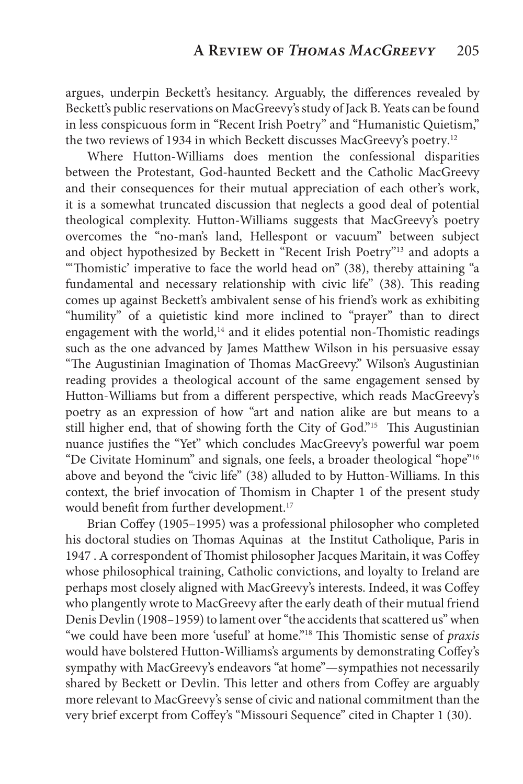argues, underpin Beckett's hesitancy. Arguably, the differences revealed by Beckett's public reservations on MacGreevy's study of Jack B. Yeats can be found in less conspicuous form in "Recent Irish Poetry" and "Humanistic Quietism," the two reviews of 1934 in which Beckett discusses MacGreevy's poetry. 12

Where Hutton-Williams does mention the confessional disparities between the Protestant, God-haunted Beckett and the Catholic MacGreevy and their consequences for their mutual appreciation of each other's work, it is a somewhat truncated discussion that neglects a good deal of potential theological complexity. Hutton-Williams suggests that MacGreevy's poetry overcomes the "no-man's land, Hellespont or vacuum" between subject and object hypothesized by Beckett in "Recent Irish Poetry"13 and adopts a "'Thomistic' imperative to face the world head on" (38), thereby attaining "a fundamental and necessary relationship with civic life" (38). This reading comes up against Beckett's ambivalent sense of his friend's work as exhibiting "humility" of a quietistic kind more inclined to "prayer" than to direct engagement with the world,<sup>14</sup> and it elides potential non-Thomistic readings such as the one advanced by James Matthew Wilson in his persuasive essay "The Augustinian Imagination of Thomas MacGreevy." Wilson's Augustinian reading provides a theological account of the same engagement sensed by Hutton-Williams but from a different perspective, which reads MacGreevy's poetry as an expression of how "art and nation alike are but means to a still higher end, that of showing forth the City of God."<sup>15</sup> This Augustinian nuance justifies the "Yet" which concludes MacGreevy's powerful war poem "De Civitate Hominum" and signals, one feels, a broader theological "hope"16 above and beyond the "civic life" (38) alluded to by Hutton-Williams. In this context, the brief invocation of Thomism in Chapter 1 of the present study would benefit from further development.<sup>17</sup>

Brian Coffey (1905–1995) was a professional philosopher who completed his doctoral studies on Thomas Aquinas at the Institut Catholique, Paris in 1947 . A correspondent of Thomist philosopher Jacques Maritain, it was Coffey whose philosophical training, Catholic convictions, and loyalty to Ireland are perhaps most closely aligned with MacGreevy's interests. Indeed, it was Coffey who plangently wrote to MacGreevy after the early death of their mutual friend Denis Devlin (1908–1959) to lament over "the accidents that scattered us" when "we could have been more 'useful' at home."18 This Thomistic sense of *praxis*  would have bolstered Hutton-Williams's arguments by demonstrating Coffey's sympathy with MacGreevy's endeavors "at home"—sympathies not necessarily shared by Beckett or Devlin. This letter and others from Coffey are arguably more relevant to MacGreevy's sense of civic and national commitment than the very brief excerpt from Coffey's "Missouri Sequence" cited in Chapter 1 (30).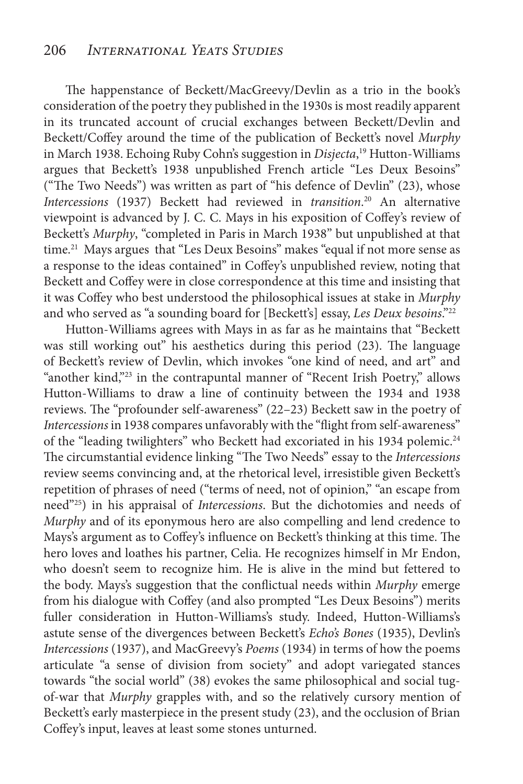The happenstance of Beckett/MacGreevy/Devlin as a trio in the book's consideration of the poetry they published in the 1930s is most readily apparent in its truncated account of crucial exchanges between Beckett/Devlin and Beckett/Coffey around the time of the publication of Beckett's novel *Murphy*  in March 1938. Echoing Ruby Cohn's suggestion in *Disjecta*, 19 Hutton-Williams argues that Beckett's 1938 unpublished French article "Les Deux Besoins" ("The Two Needs") was written as part of "his defence of Devlin" (23), whose *Intercessions* (1937) Beckett had reviewed in *transition*. 20 An alternative viewpoint is advanced by J. C. C. Mays in his exposition of Coffey's review of Beckett's *Murphy*, "completed in Paris in March 1938" but unpublished at that time.<sup>21</sup> Mays argues that "Les Deux Besoins" makes "equal if not more sense as a response to the ideas contained" in Coffey's unpublished review, noting that Beckett and Coffey were in close correspondence at this time and insisting that it was Coffey who best understood the philosophical issues at stake in *Murphy*  and who served as "a sounding board for [Beckett's] essay, *Les Deux besoins*."22

Hutton-Williams agrees with Mays in as far as he maintains that "Beckett was still working out" his aesthetics during this period (23). The language of Beckett's review of Devlin, which invokes "one kind of need, and art" and "another kind,"<sup>23</sup> in the contrapuntal manner of "Recent Irish Poetry," allows Hutton-Williams to draw a line of continuity between the 1934 and 1938 reviews. The "profounder self-awareness" (22–23) Beckett saw in the poetry of *Intercessions* in 1938 compares unfavorably with the "flight from self-awareness" of the "leading twilighters" who Beckett had excoriated in his 1934 polemic.<sup>24</sup> The circumstantial evidence linking "The Two Needs" essay to the *Intercessions*  review seems convincing and, at the rhetorical level, irresistible given Beckett's repetition of phrases of need ("terms of need, not of opinion," "an escape from need"25) in his appraisal of *Intercessions*. But the dichotomies and needs of *Murphy* and of its eponymous hero are also compelling and lend credence to Mays's argument as to Coffey's influence on Beckett's thinking at this time. The hero loves and loathes his partner, Celia. He recognizes himself in Mr Endon, who doesn't seem to recognize him. He is alive in the mind but fettered to the body. Mays's suggestion that the conflictual needs within *Murphy* emerge from his dialogue with Coffey (and also prompted "Les Deux Besoins") merits fuller consideration in Hutton-Williams's study. Indeed, Hutton-Williams's astute sense of the divergences between Beckett's *Echo's Bones* (1935), Devlin's *Intercessions* (1937), and MacGreevy's *Poems* (1934) in terms of how the poems articulate "a sense of division from society" and adopt variegated stances towards "the social world" (38) evokes the same philosophical and social tugof-war that *Murphy* grapples with, and so the relatively cursory mention of Beckett's early masterpiece in the present study (23), and the occlusion of Brian Coffey's input, leaves at least some stones unturned.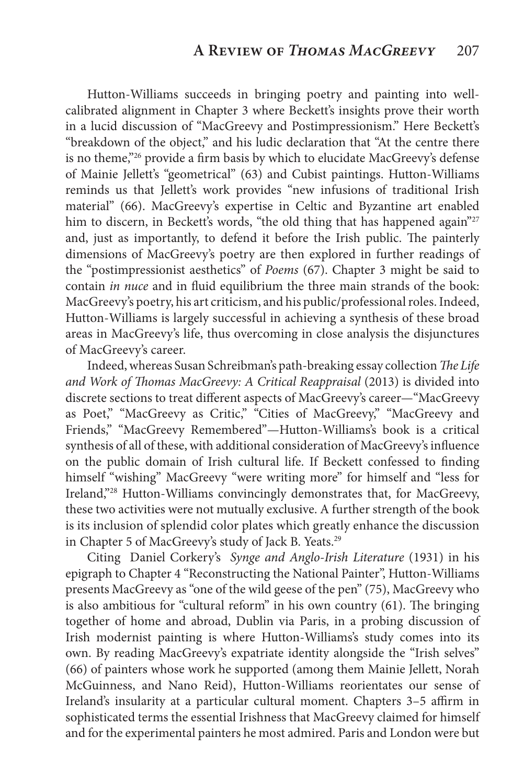Hutton-Williams succeeds in bringing poetry and painting into wellcalibrated alignment in Chapter 3 where Beckett's insights prove their worth in a lucid discussion of "MacGreevy and Postimpressionism." Here Beckett's "breakdown of the object," and his ludic declaration that "At the centre there is no theme,"26 provide a firm basis by which to elucidate MacGreevy's defense of Mainie Jellett's "geometrical" (63) and Cubist paintings. Hutton-Williams reminds us that Jellett's work provides "new infusions of traditional Irish material" (66). MacGreevy's expertise in Celtic and Byzantine art enabled him to discern, in Beckett's words, "the old thing that has happened again"<sup>27</sup> and, just as importantly, to defend it before the Irish public. The painterly dimensions of MacGreevy's poetry are then explored in further readings of the "postimpressionist aesthetics" of *Poems* (67). Chapter 3 might be said to contain *in nuce* and in fluid equilibrium the three main strands of the book: MacGreevy's poetry, his art criticism, and his public/professional roles. Indeed, Hutton-Williams is largely successful in achieving a synthesis of these broad areas in MacGreevy's life, thus overcoming in close analysis the disjunctures of MacGreevy's career.

Indeed, whereas Susan Schreibman's path-breaking essay collection *The Life and Work of Thomas MacGreevy: A Critical Reappraisal* (2013) is divided into discrete sections to treat different aspects of MacGreevy's career—"MacGreevy as Poet," "MacGreevy as Critic," "Cities of MacGreevy," "MacGreevy and Friends," "MacGreevy Remembered"—Hutton-Williams's book is a critical synthesis of all of these, with additional consideration of MacGreevy's influence on the public domain of Irish cultural life. If Beckett confessed to finding himself "wishing" MacGreevy "were writing more" for himself and "less for Ireland,"28 Hutton-Williams convincingly demonstrates that, for MacGreevy, these two activities were not mutually exclusive. A further strength of the book is its inclusion of splendid color plates which greatly enhance the discussion in Chapter 5 of MacGreevy's study of Jack B. Yeats.<sup>29</sup>

Citing Daniel Corkery's *Synge and Anglo-Irish Literature* (1931) in his epigraph to Chapter 4 "Reconstructing the National Painter", Hutton-Williams presents MacGreevy as "one of the wild geese of the pen" (75), MacGreevy who is also ambitious for "cultural reform" in his own country (61). The bringing together of home and abroad, Dublin via Paris, in a probing discussion of Irish modernist painting is where Hutton-Williams's study comes into its own. By reading MacGreevy's expatriate identity alongside the "Irish selves" (66) of painters whose work he supported (among them Mainie Jellett, Norah McGuinness, and Nano Reid), Hutton-Williams reorientates our sense of Ireland's insularity at a particular cultural moment. Chapters 3–5 affirm in sophisticated terms the essential Irishness that MacGreevy claimed for himself and for the experimental painters he most admired. Paris and London were but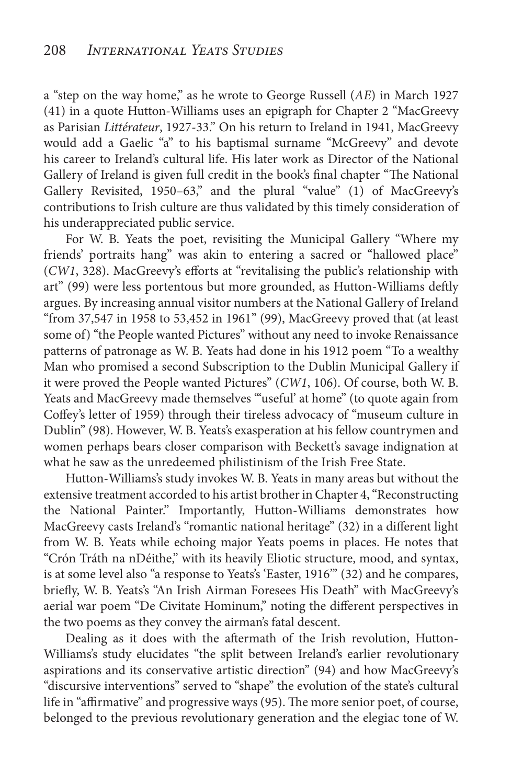a "step on the way home," as he wrote to George Russell (*AE*) in March 1927 (41) in a quote Hutton-Williams uses an epigraph for Chapter 2 "MacGreevy as Parisian *Littérateur*, 1927-33." On his return to Ireland in 1941, MacGreevy would add a Gaelic "a" to his baptismal surname "McGreevy" and devote his career to Ireland's cultural life. His later work as Director of the National Gallery of Ireland is given full credit in the book's final chapter "The National Gallery Revisited, 1950-63," and the plural "value" (1) of MacGreevy's contributions to Irish culture are thus validated by this timely consideration of his underappreciated public service.

For W. B. Yeats the poet, revisiting the Municipal Gallery "Where my friends' portraits hang" was akin to entering a sacred or "hallowed place" (*CW1*, 328). MacGreevy's efforts at "revitalising the public's relationship with art" (99) were less portentous but more grounded, as Hutton-Williams deftly argues. By increasing annual visitor numbers at the National Gallery of Ireland "from 37,547 in 1958 to 53,452 in 1961" (99), MacGreevy proved that (at least some of) "the People wanted Pictures" without any need to invoke Renaissance patterns of patronage as W. B. Yeats had done in his 1912 poem "To a wealthy Man who promised a second Subscription to the Dublin Municipal Gallery if it were proved the People wanted Pictures" (*CW1*, 106). Of course, both W. B. Yeats and MacGreevy made themselves "'useful' at home" (to quote again from Coffey's letter of 1959) through their tireless advocacy of "museum culture in Dublin" (98). However, W. B. Yeats's exasperation at his fellow countrymen and women perhaps bears closer comparison with Beckett's savage indignation at what he saw as the unredeemed philistinism of the Irish Free State.

Hutton-Williams's study invokes W. B. Yeats in many areas but without the extensive treatment accorded to his artist brother in Chapter 4, "Reconstructing the National Painter." Importantly, Hutton-Williams demonstrates how MacGreevy casts Ireland's "romantic national heritage" (32) in a different light from W. B. Yeats while echoing major Yeats poems in places. He notes that "Crón Tráth na nDéithe," with its heavily Eliotic structure, mood, and syntax, is at some level also "a response to Yeats's 'Easter, 1916'" (32) and he compares, briefly, W. B. Yeats's "An Irish Airman Foresees His Death" with MacGreevy's aerial war poem "De Civitate Hominum," noting the different perspectives in the two poems as they convey the airman's fatal descent.

Dealing as it does with the aftermath of the Irish revolution, Hutton-Williams's study elucidates "the split between Ireland's earlier revolutionary aspirations and its conservative artistic direction" (94) and how MacGreevy's "discursive interventions" served to "shape" the evolution of the state's cultural life in "affirmative" and progressive ways (95). The more senior poet, of course, belonged to the previous revolutionary generation and the elegiac tone of W.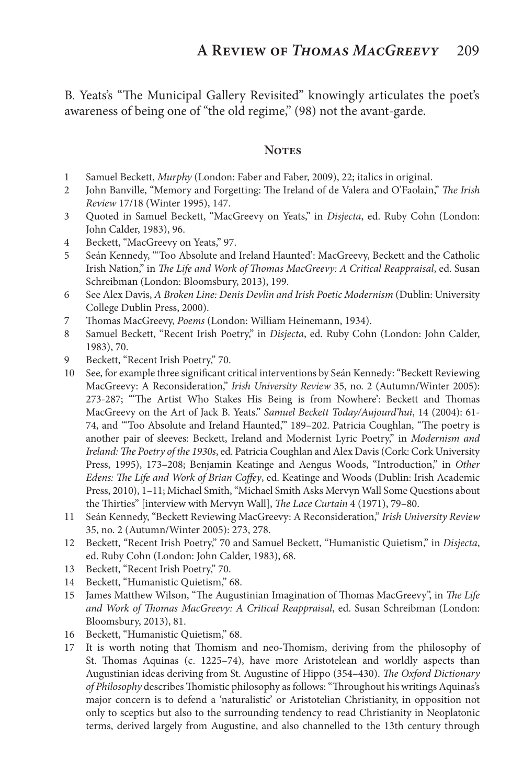B. Yeats's "The Municipal Gallery Revisited" knowingly articulates the poet's awareness of being one of "the old regime," (98) not the avant-garde.

#### **Notes**

- 1 Samuel Beckett, *Murphy* (London: Faber and Faber, 2009), 22; italics in original.
- 2 John Banville, "Memory and Forgetting: The Ireland of de Valera and O'Faolain," *The Irish Review* 17/18 (Winter 1995), 147.
- 3 Quoted in Samuel Beckett, "MacGreevy on Yeats," in *Disjecta*, ed. Ruby Cohn (London: John Calder, 1983), 96.
- 4 Beckett, "MacGreevy on Yeats," 97.
- 5 Seán Kennedy, "'Too Absolute and Ireland Haunted': MacGreevy, Beckett and the Catholic Irish Nation," in *The Life and Work of Thomas MacGreevy: A Critical Reappraisal*, ed. Susan Schreibman (London: Bloomsbury, 2013), 199.
- 6 See Alex Davis, *A Broken Line: Denis Devlin and Irish Poetic Modernism* (Dublin: University College Dublin Press, 2000).
- 7 Thomas MacGreevy, *Poems* (London: William Heinemann, 1934).
- 8 Samuel Beckett, "Recent Irish Poetry," in *Disjecta*, ed. Ruby Cohn (London: John Calder, 1983), 70.
- 9 Beckett, "Recent Irish Poetry," 70.
- 10 See, for example three significant critical interventions by Seán Kennedy: "Beckett Reviewing MacGreevy: A Reconsideration," *Irish University Review* 35, no. 2 (Autumn/Winter 2005): 273-287; "'The Artist Who Stakes His Being is from Nowhere': Beckett and Thomas MacGreevy on the Art of Jack B. Yeats." *Samuel Beckett Today/Aujourd'hui*, 14 (2004): 61- 74, and "'Too Absolute and Ireland Haunted,'" 189–202. Patricia Coughlan, "The poetry is another pair of sleeves: Beckett, Ireland and Modernist Lyric Poetry," in *Modernism and Ireland: The Poetry of the 1930s*, ed. Patricia Coughlan and Alex Davis (Cork: Cork University Press, 1995), 173–208; Benjamin Keatinge and Aengus Woods, "Introduction," in *Other Edens: The Life and Work of Brian Coffey*, ed. Keatinge and Woods (Dublin: Irish Academic Press, 2010), 1–11; Michael Smith, "Michael Smith Asks Mervyn Wall Some Questions about the Thirties" [interview with Mervyn Wall], *The Lace Curtain* 4 (1971), 79–80.
- 11 Seán Kennedy, "Beckett Reviewing MacGreevy: A Reconsideration," *Irish University Review*  35, no. 2 (Autumn/Winter 2005): 273, 278.
- 12 Beckett, "Recent Irish Poetry," 70 and Samuel Beckett, "Humanistic Quietism," in *Disjecta*, ed. Ruby Cohn (London: John Calder, 1983), 68.
- 13 Beckett, "Recent Irish Poetry," 70.
- 14 Beckett, "Humanistic Quietism," 68.
- 15 James Matthew Wilson, "The Augustinian Imagination of Thomas MacGreevy", in *The Life and Work of Thomas MacGreevy: A Critical Reappraisal*, ed. Susan Schreibman (London: Bloomsbury, 2013), 81.
- 16 Beckett, "Humanistic Quietism," 68.
- 17 It is worth noting that Thomism and neo-Thomism, deriving from the philosophy of St. Thomas Aquinas (c. 1225–74), have more Aristotelean and worldly aspects than Augustinian ideas deriving from St. Augustine of Hippo (354–430). *The Oxford Dictionary of Philosophy* describes Thomistic philosophy as follows: "Throughout his writings Aquinas's major concern is to defend a 'naturalistic' or Aristotelian Christianity, in opposition not only to sceptics but also to the surrounding tendency to read Christianity in Neoplatonic terms, derived largely from Augustine, and also channelled to the 13th century through